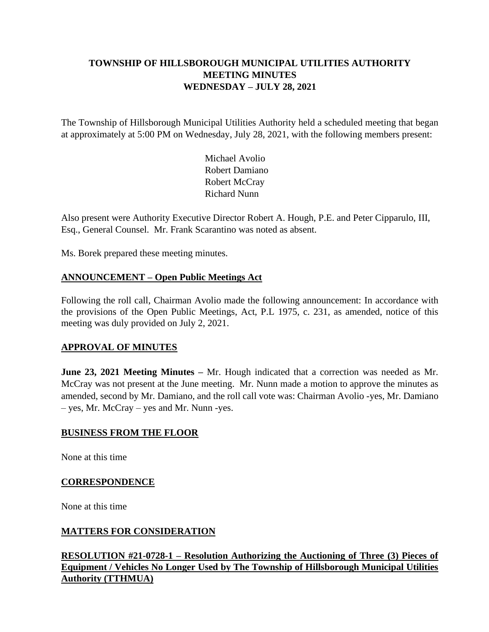# **TOWNSHIP OF HILLSBOROUGH MUNICIPAL UTILITIES AUTHORITY MEETING MINUTES WEDNESDAY – JULY 28, 2021**

The Township of Hillsborough Municipal Utilities Authority held a scheduled meeting that began at approximately at 5:00 PM on Wednesday, July 28, 2021, with the following members present:

> Michael Avolio Robert Damiano Robert McCray Richard Nunn

Also present were Authority Executive Director Robert A. Hough, P.E. and Peter Cipparulo, III, Esq., General Counsel. Mr. Frank Scarantino was noted as absent.

Ms. Borek prepared these meeting minutes.

# **ANNOUNCEMENT – Open Public Meetings Act**

Following the roll call, Chairman Avolio made the following announcement: In accordance with the provisions of the Open Public Meetings, Act, P.L 1975, c. 231, as amended, notice of this meeting was duly provided on July 2, 2021.

# **APPROVAL OF MINUTES**

**June 23, 2021 Meeting Minutes –** Mr. Hough indicated that a correction was needed as Mr. McCray was not present at the June meeting. Mr. Nunn made a motion to approve the minutes as amended, second by Mr. Damiano, and the roll call vote was: Chairman Avolio -yes, Mr. Damiano – yes, Mr. McCray – yes and Mr. Nunn -yes.

#### **BUSINESS FROM THE FLOOR**

None at this time

#### **CORRESPONDENCE**

None at this time

# **MATTERS FOR CONSIDERATION**

**RESOLUTION #21-0728-1 – Resolution Authorizing the Auctioning of Three (3) Pieces of Equipment / Vehicles No Longer Used by The Township of Hillsborough Municipal Utilities Authority (TTHMUA)**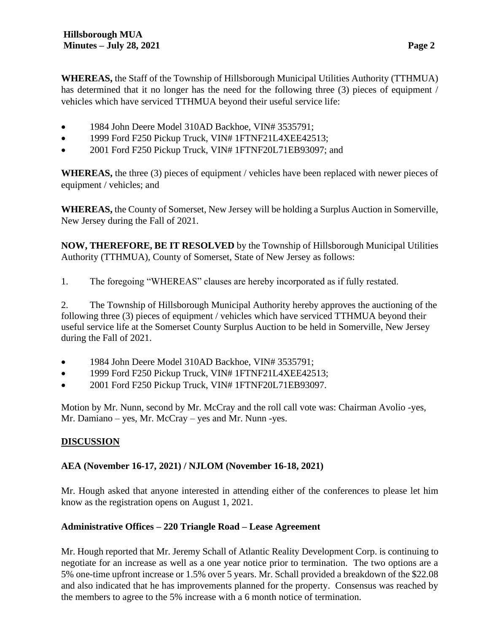**WHEREAS,** the Staff of the Township of Hillsborough Municipal Utilities Authority (TTHMUA) has determined that it no longer has the need for the following three (3) pieces of equipment / vehicles which have serviced TTHMUA beyond their useful service life:

- 1984 John Deere Model 310AD Backhoe, VIN# 3535791;
- 1999 Ford F250 Pickup Truck, VIN# 1FTNF21L4XEE42513;
- 2001 Ford F250 Pickup Truck, VIN# 1FTNF20L71EB93097; and

**WHEREAS,** the three (3) pieces of equipment / vehicles have been replaced with newer pieces of equipment / vehicles; and

**WHEREAS,** the County of Somerset, New Jersey will be holding a Surplus Auction in Somerville, New Jersey during the Fall of 2021.

**NOW, THEREFORE, BE IT RESOLVED** by the Township of Hillsborough Municipal Utilities Authority (TTHMUA), County of Somerset, State of New Jersey as follows:

1. The foregoing "WHEREAS" clauses are hereby incorporated as if fully restated.

2. The Township of Hillsborough Municipal Authority hereby approves the auctioning of the following three (3) pieces of equipment / vehicles which have serviced TTHMUA beyond their useful service life at the Somerset County Surplus Auction to be held in Somerville, New Jersey during the Fall of 2021.

- 1984 John Deere Model 310AD Backhoe, VIN# 3535791;
- 1999 Ford F250 Pickup Truck, VIN# 1FTNF21L4XEE42513;
- 2001 Ford F250 Pickup Truck, VIN# 1FTNF20L71EB93097.

Motion by Mr. Nunn, second by Mr. McCray and the roll call vote was: Chairman Avolio -yes, Mr. Damiano – yes, Mr. McCray – yes and Mr. Nunn -yes.

# **DISCUSSION**

# **AEA (November 16-17, 2021) / NJLOM (November 16-18, 2021)**

Mr. Hough asked that anyone interested in attending either of the conferences to please let him know as the registration opens on August 1, 2021.

# **Administrative Offices – 220 Triangle Road – Lease Agreement**

Mr. Hough reported that Mr. Jeremy Schall of Atlantic Reality Development Corp. is continuing to negotiate for an increase as well as a one year notice prior to termination. The two options are a 5% one-time upfront increase or 1.5% over 5 years. Mr. Schall provided a breakdown of the \$22.08 and also indicated that he has improvements planned for the property. Consensus was reached by the members to agree to the 5% increase with a 6 month notice of termination.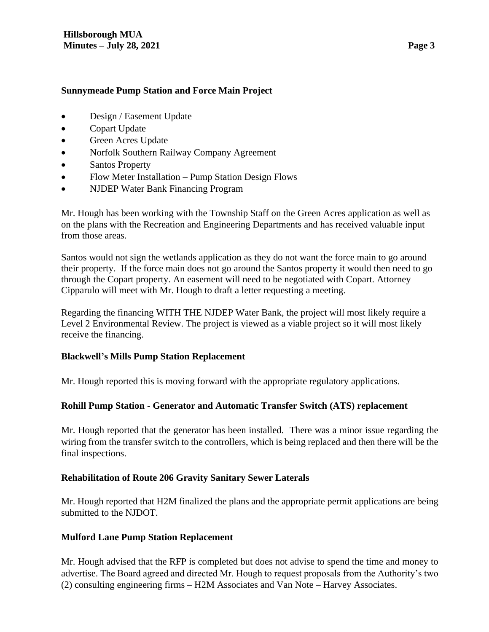#### **Sunnymeade Pump Station and Force Main Project**

- Design / Easement Update
- Copart Update
- Green Acres Update
- Norfolk Southern Railway Company Agreement
- Santos Property
- Flow Meter Installation Pump Station Design Flows
- NJDEP Water Bank Financing Program

Mr. Hough has been working with the Township Staff on the Green Acres application as well as on the plans with the Recreation and Engineering Departments and has received valuable input from those areas.

Santos would not sign the wetlands application as they do not want the force main to go around their property. If the force main does not go around the Santos property it would then need to go through the Copart property. An easement will need to be negotiated with Copart. Attorney Cipparulo will meet with Mr. Hough to draft a letter requesting a meeting.

Regarding the financing WITH THE NJDEP Water Bank, the project will most likely require a Level 2 Environmental Review. The project is viewed as a viable project so it will most likely receive the financing.

# **Blackwell's Mills Pump Station Replacement**

Mr. Hough reported this is moving forward with the appropriate regulatory applications.

# **Rohill Pump Station - Generator and Automatic Transfer Switch (ATS) replacement**

Mr. Hough reported that the generator has been installed. There was a minor issue regarding the wiring from the transfer switch to the controllers, which is being replaced and then there will be the final inspections.

# **Rehabilitation of Route 206 Gravity Sanitary Sewer Laterals**

Mr. Hough reported that H2M finalized the plans and the appropriate permit applications are being submitted to the NJDOT.

# **Mulford Lane Pump Station Replacement**

Mr. Hough advised that the RFP is completed but does not advise to spend the time and money to advertise. The Board agreed and directed Mr. Hough to request proposals from the Authority's two (2) consulting engineering firms – H2M Associates and Van Note – Harvey Associates.